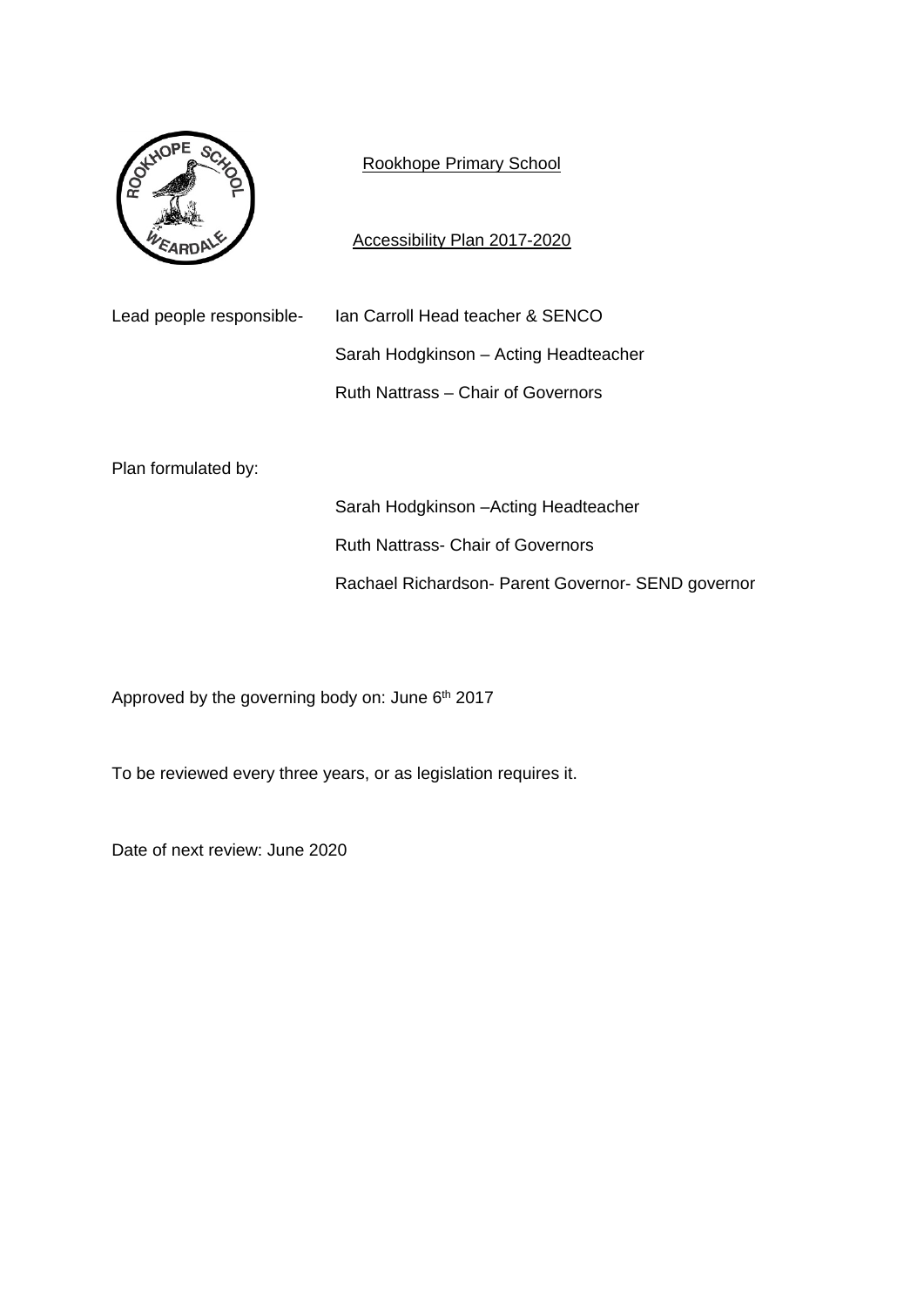

# Rookhope Primary School

Accessibility Plan 2017-2020

Lead people responsible- Ian Carroll Head teacher & SENCO

 Sarah Hodgkinson – Acting Headteacher Ruth Nattrass – Chair of Governors

Plan formulated by:

Sarah Hodgkinson –Acting Headteacher Ruth Nattrass- Chair of Governors Rachael Richardson- Parent Governor- SEND governor

Approved by the governing body on: June 6<sup>th</sup> 2017

To be reviewed every three years, or as legislation requires it.

Date of next review: June 2020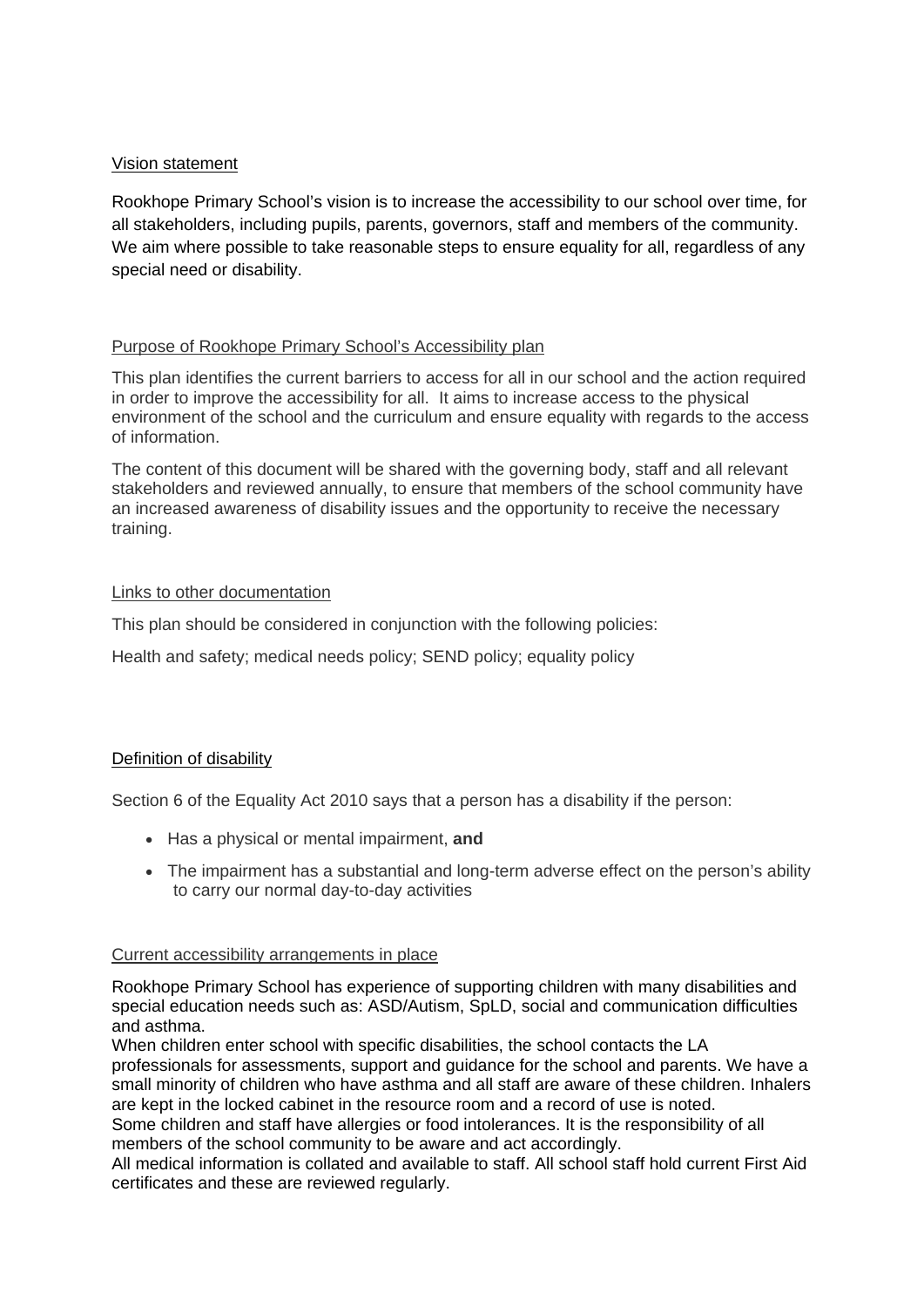## Vision statement

Rookhope Primary School's vision is to increase the accessibility to our school over time, for all stakeholders, including pupils, parents, governors, staff and members of the community. We aim where possible to take reasonable steps to ensure equality for all, regardless of any special need or disability.

## Purpose of Rookhope Primary School's Accessibility plan

This plan identifies the current barriers to access for all in our school and the action required in order to improve the accessibility for all. It aims to increase access to the physical environment of the school and the curriculum and ensure equality with regards to the access of information.

The content of this document will be shared with the governing body, staff and all relevant stakeholders and reviewed annually, to ensure that members of the school community have an increased awareness of disability issues and the opportunity to receive the necessary training.

## Links to other documentation

This plan should be considered in conjunction with the following policies:

Health and safety; medical needs policy; SEND policy; equality policy

## Definition of disability

Section 6 of the Equality Act 2010 says that a person has a disability if the person:

- Has a physical or mental impairment, **and**
- The impairment has a substantial and long-term adverse effect on the person's ability to carry our normal day-to-day activities

## Current accessibility arrangements in place

Rookhope Primary School has experience of supporting children with many disabilities and special education needs such as: ASD/Autism, SpLD, social and communication difficulties and asthma.

When children enter school with specific disabilities, the school contacts the LA professionals for assessments, support and guidance for the school and parents. We have a small minority of children who have asthma and all staff are aware of these children. Inhalers are kept in the locked cabinet in the resource room and a record of use is noted.

Some children and staff have allergies or food intolerances. It is the responsibility of all members of the school community to be aware and act accordingly.

All medical information is collated and available to staff. All school staff hold current First Aid certificates and these are reviewed regularly.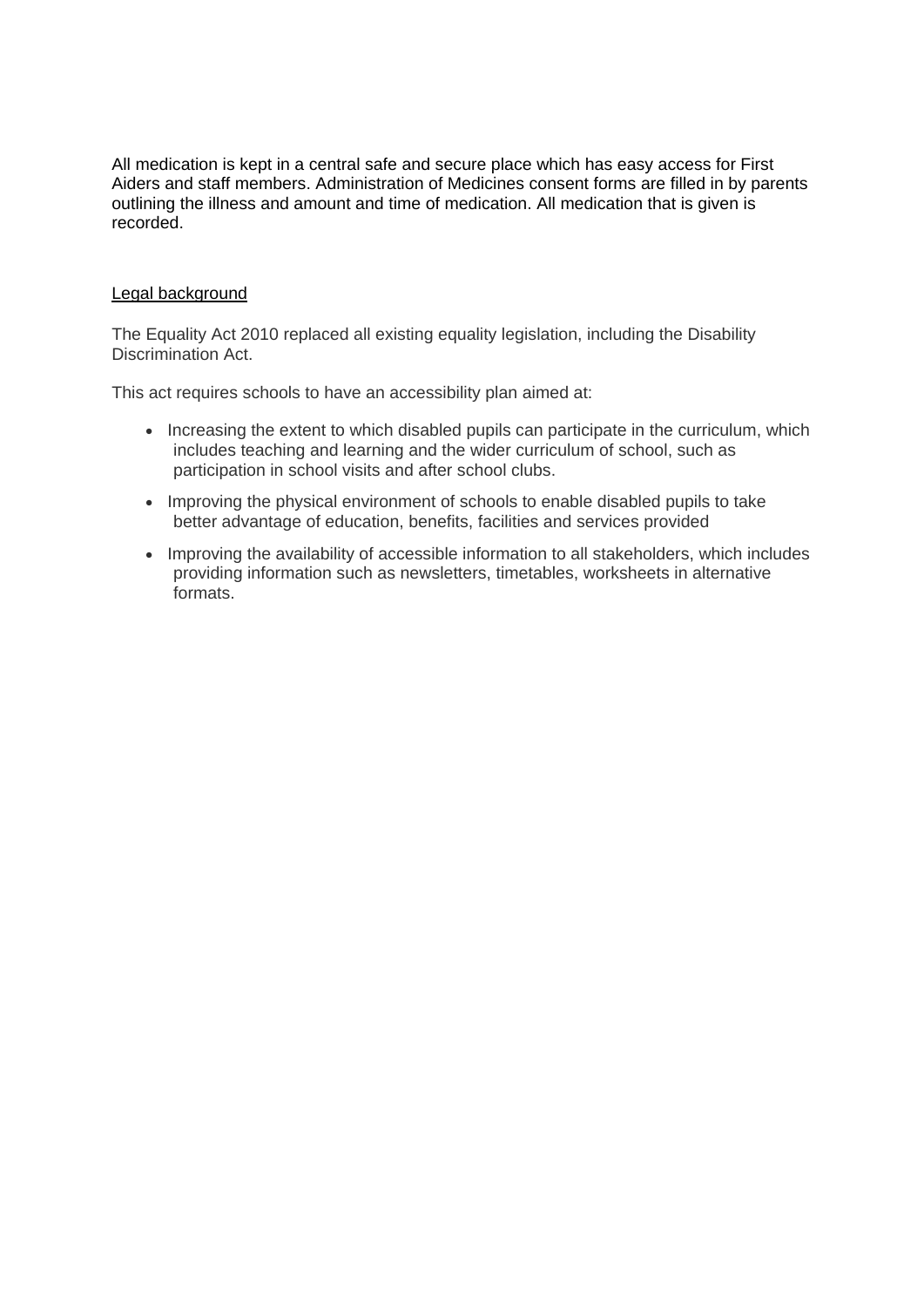All medication is kept in a central safe and secure place which has easy access for First Aiders and staff members. Administration of Medicines consent forms are filled in by parents outlining the illness and amount and time of medication. All medication that is given is recorded.

#### Legal background

The Equality Act 2010 replaced all existing equality legislation, including the Disability Discrimination Act.

This act requires schools to have an accessibility plan aimed at:

- Increasing the extent to which disabled pupils can participate in the curriculum, which includes teaching and learning and the wider curriculum of school, such as participation in school visits and after school clubs.
- Improving the physical environment of schools to enable disabled pupils to take better advantage of education, benefits, facilities and services provided
- Improving the availability of accessible information to all stakeholders, which includes providing information such as newsletters, timetables, worksheets in alternative formats.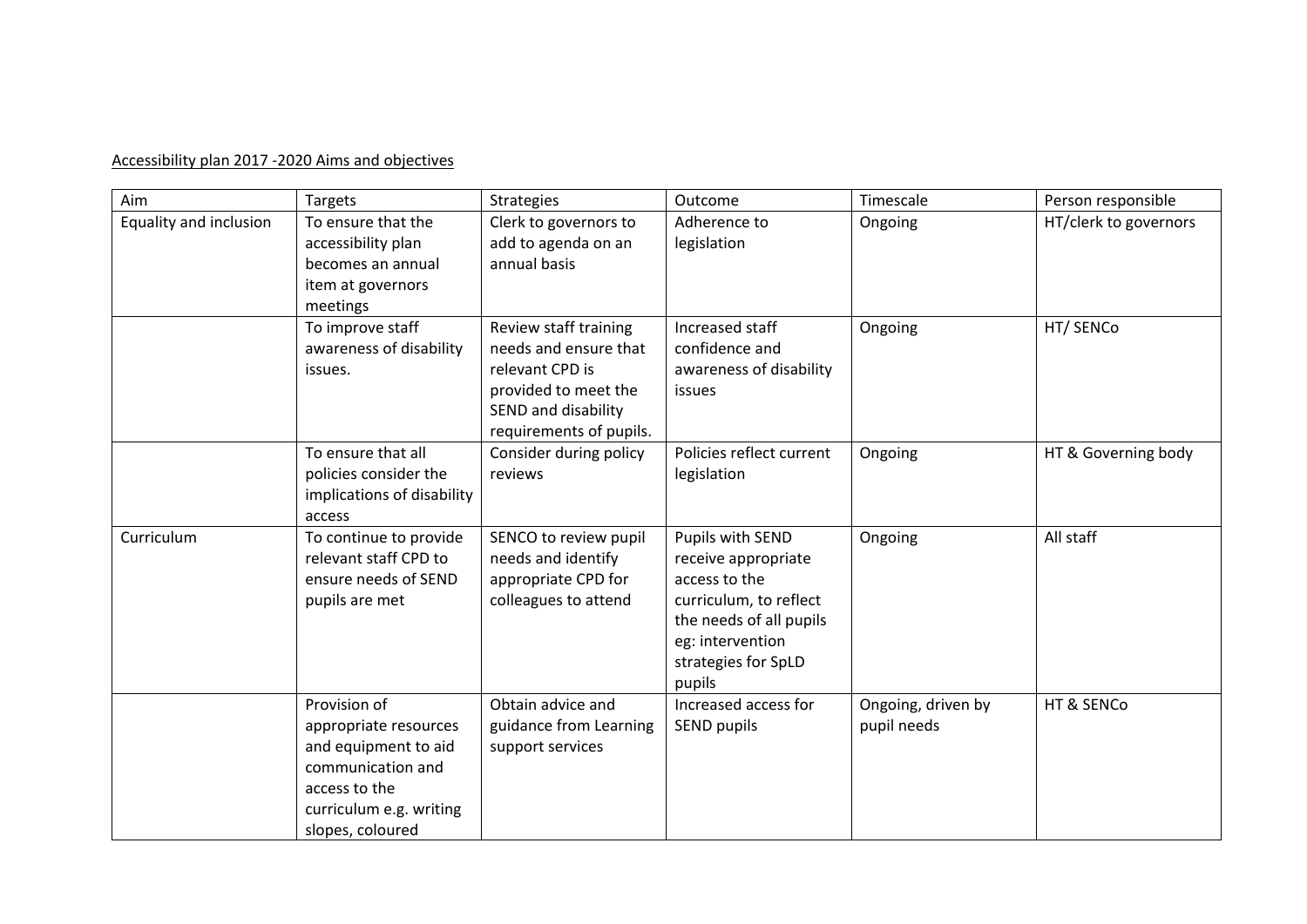## Accessibility plan 2017 -2020 Aims and objectives

| Aim                    | Targets                                                                                                                                            | Strategies                                                                                                                                  | Outcome                                                                                                                                                            | Timescale                         | Person responsible    |
|------------------------|----------------------------------------------------------------------------------------------------------------------------------------------------|---------------------------------------------------------------------------------------------------------------------------------------------|--------------------------------------------------------------------------------------------------------------------------------------------------------------------|-----------------------------------|-----------------------|
| Equality and inclusion | To ensure that the<br>accessibility plan<br>becomes an annual<br>item at governors<br>meetings                                                     | Clerk to governors to<br>add to agenda on an<br>annual basis                                                                                | Adherence to<br>legislation                                                                                                                                        | Ongoing                           | HT/clerk to governors |
|                        | To improve staff<br>awareness of disability<br>issues.                                                                                             | Review staff training<br>needs and ensure that<br>relevant CPD is<br>provided to meet the<br>SEND and disability<br>requirements of pupils. | Increased staff<br>confidence and<br>awareness of disability<br>issues                                                                                             | Ongoing                           | HT/ SENCo             |
|                        | To ensure that all<br>policies consider the<br>implications of disability<br>access                                                                | Consider during policy<br>reviews                                                                                                           | Policies reflect current<br>legislation                                                                                                                            | Ongoing                           | HT & Governing body   |
| Curriculum             | To continue to provide<br>relevant staff CPD to<br>ensure needs of SEND<br>pupils are met                                                          | SENCO to review pupil<br>needs and identify<br>appropriate CPD for<br>colleagues to attend                                                  | Pupils with SEND<br>receive appropriate<br>access to the<br>curriculum, to reflect<br>the needs of all pupils<br>eg: intervention<br>strategies for SpLD<br>pupils | Ongoing                           | All staff             |
|                        | Provision of<br>appropriate resources<br>and equipment to aid<br>communication and<br>access to the<br>curriculum e.g. writing<br>slopes, coloured | Obtain advice and<br>guidance from Learning<br>support services                                                                             | Increased access for<br>SEND pupils                                                                                                                                | Ongoing, driven by<br>pupil needs | HT & SENCo            |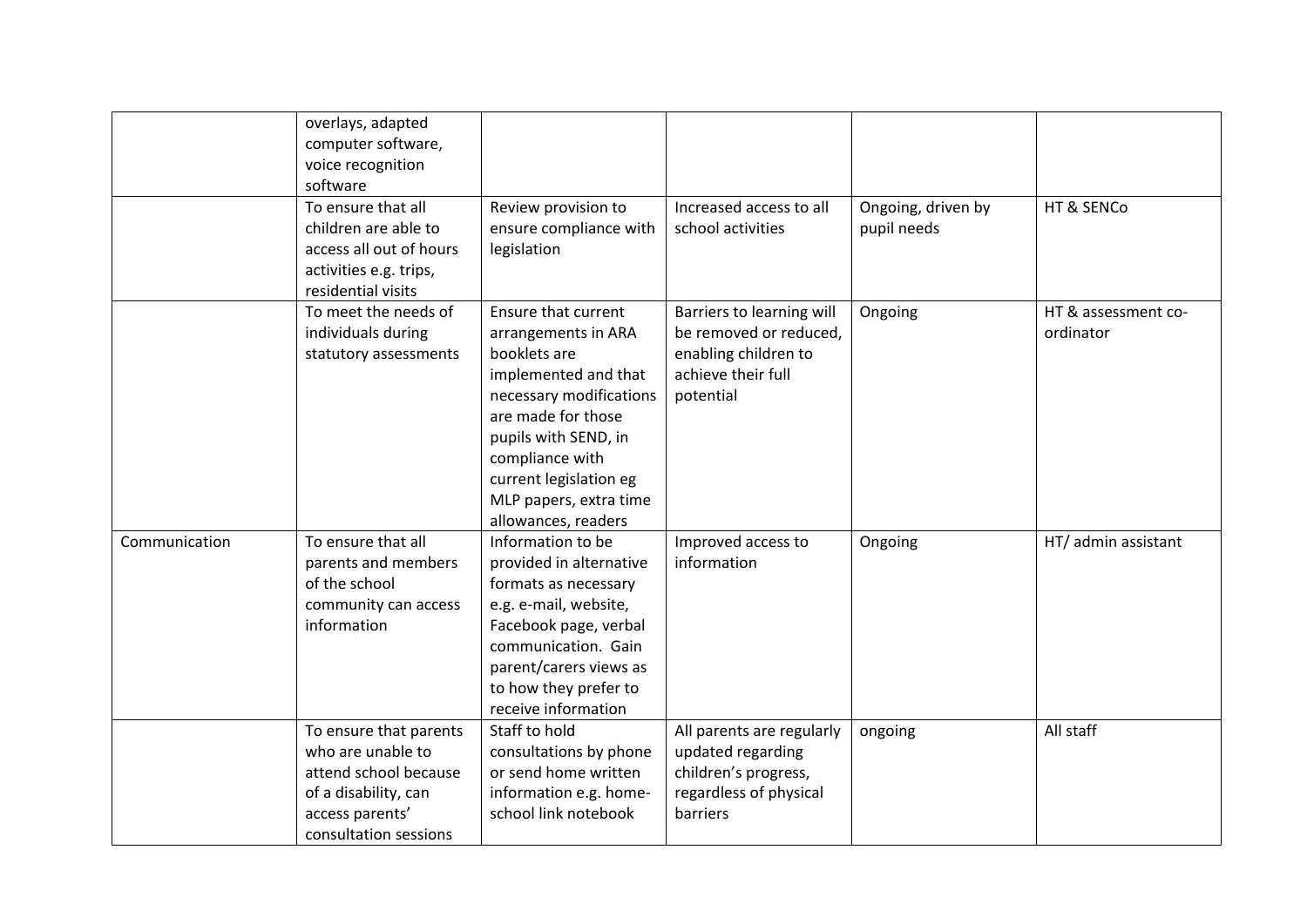|               | overlays, adapted<br>computer software,<br>voice recognition<br>software                                                                 |                                                                                                                                                                                                                                                           |                                                                                                                |                                   |                                  |
|---------------|------------------------------------------------------------------------------------------------------------------------------------------|-----------------------------------------------------------------------------------------------------------------------------------------------------------------------------------------------------------------------------------------------------------|----------------------------------------------------------------------------------------------------------------|-----------------------------------|----------------------------------|
|               | To ensure that all<br>children are able to<br>access all out of hours<br>activities e.g. trips,<br>residential visits                    | Review provision to<br>ensure compliance with<br>legislation                                                                                                                                                                                              | Increased access to all<br>school activities                                                                   | Ongoing, driven by<br>pupil needs | HT & SENCo                       |
|               | To meet the needs of<br>individuals during<br>statutory assessments                                                                      | Ensure that current<br>arrangements in ARA<br>booklets are<br>implemented and that<br>necessary modifications<br>are made for those<br>pupils with SEND, in<br>compliance with<br>current legislation eg<br>MLP papers, extra time<br>allowances, readers | Barriers to learning will<br>be removed or reduced,<br>enabling children to<br>achieve their full<br>potential | Ongoing                           | HT & assessment co-<br>ordinator |
| Communication | To ensure that all<br>parents and members<br>of the school<br>community can access<br>information                                        | Information to be<br>provided in alternative<br>formats as necessary<br>e.g. e-mail, website,<br>Facebook page, verbal<br>communication. Gain<br>parent/carers views as<br>to how they prefer to<br>receive information                                   | Improved access to<br>information                                                                              | Ongoing                           | HT/ admin assistant              |
|               | To ensure that parents<br>who are unable to<br>attend school because<br>of a disability, can<br>access parents'<br>consultation sessions | Staff to hold<br>consultations by phone<br>or send home written<br>information e.g. home-<br>school link notebook                                                                                                                                         | All parents are regularly<br>updated regarding<br>children's progress,<br>regardless of physical<br>barriers   | ongoing                           | All staff                        |